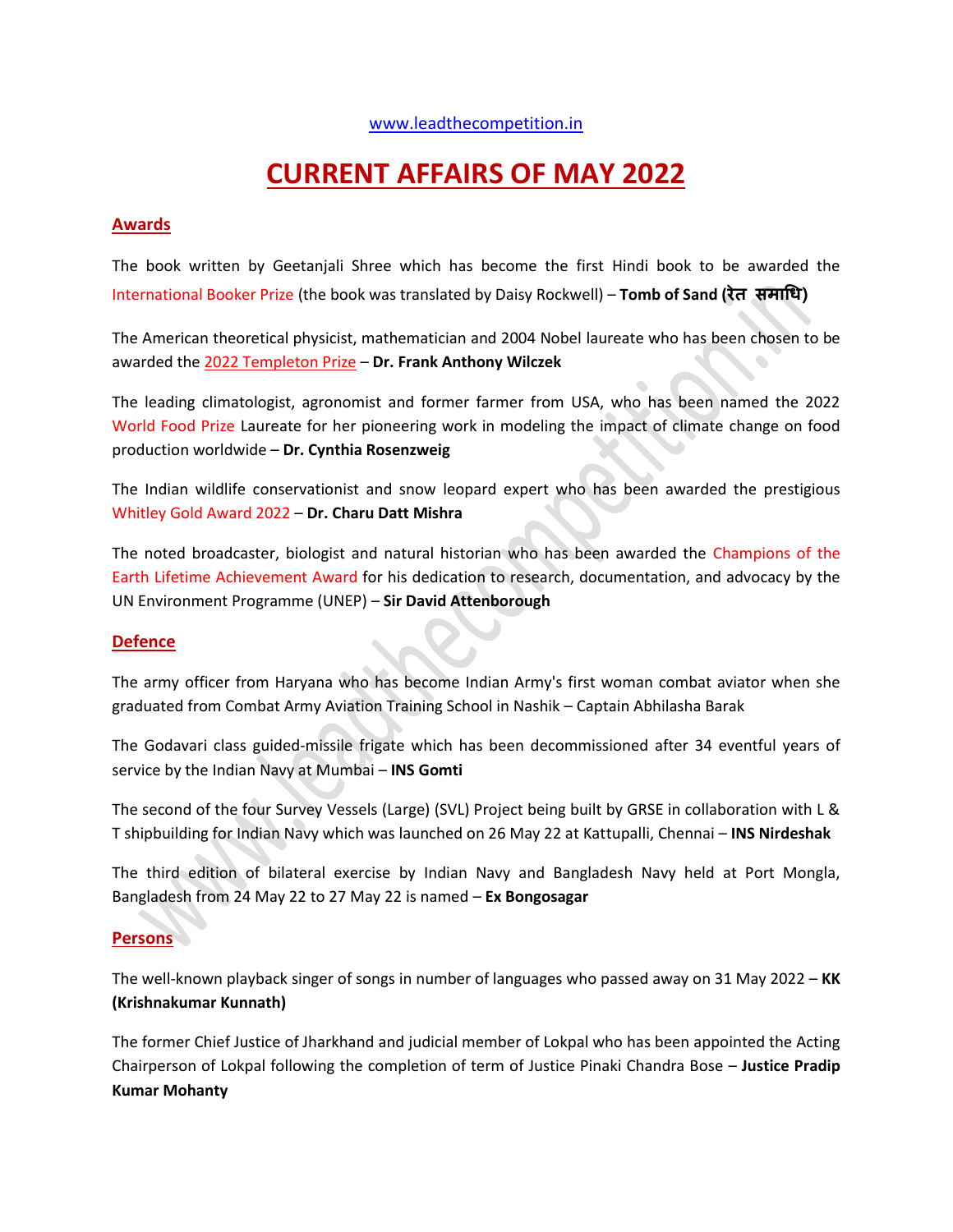## [www.leadthecompetition.in](http://www.leadthecompetition.in/)

# **CURRENT AFFAIRS OF MAY 2022**

#### **Awards**

The book written by Geetanjali Shree which has become the first Hindi book to be awarded the International Booker Prize (the book was translated by Daisy Rockwell) – **Tomb of Sand (रेत समाधि)**

The American theoretical physicist, mathematician and 2004 Nobel laureate who has been chosen to be awarded the 2022 Templeton Prize – **Dr. Frank Anthony Wilczek**

The leading climatologist, agronomist and former farmer from USA, who has been named the 2022 World Food Prize Laureate for her pioneering work in modeling the impact of climate change on food production worldwide – **Dr. Cynthia Rosenzweig**

The Indian wildlife conservationist and snow leopard expert who has been awarded the prestigious Whitley Gold Award 2022 – **Dr. Charu Datt Mishra**

The noted broadcaster, biologist and natural historian who has been awarded the Champions of the Earth Lifetime Achievement Award for his dedication to research, documentation, and advocacy by the UN Environment Programme (UNEP) – **Sir David Attenborough**

#### **Defence**

The army officer from Haryana who has become Indian Army's first woman combat aviator when she graduated from Combat Army Aviation Training School in Nashik – Captain Abhilasha Barak

The Godavari class guided-missile frigate which has been decommissioned after 34 eventful years of service by the Indian Navy at Mumbai – **INS Gomti**

The second of the four Survey Vessels (Large) (SVL) Project being built by GRSE in collaboration with L & T shipbuilding for Indian Navy which was launched on 26 May 22 at Kattupalli, Chennai – **INS Nirdeshak**

The third edition of bilateral exercise by Indian Navy and Bangladesh Navy held at Port Mongla, Bangladesh from 24 May 22 to 27 May 22 is named – **Ex Bongosagar**

#### **Persons**

The well-known playback singer of songs in number of languages who passed away on 31 May 2022 – **KK (Krishnakumar Kunnath)**

The former Chief Justice of Jharkhand and judicial member of Lokpal who has been appointed the Acting Chairperson of Lokpal following the completion of term of Justice Pinaki Chandra Bose – **Justice Pradip Kumar Mohanty**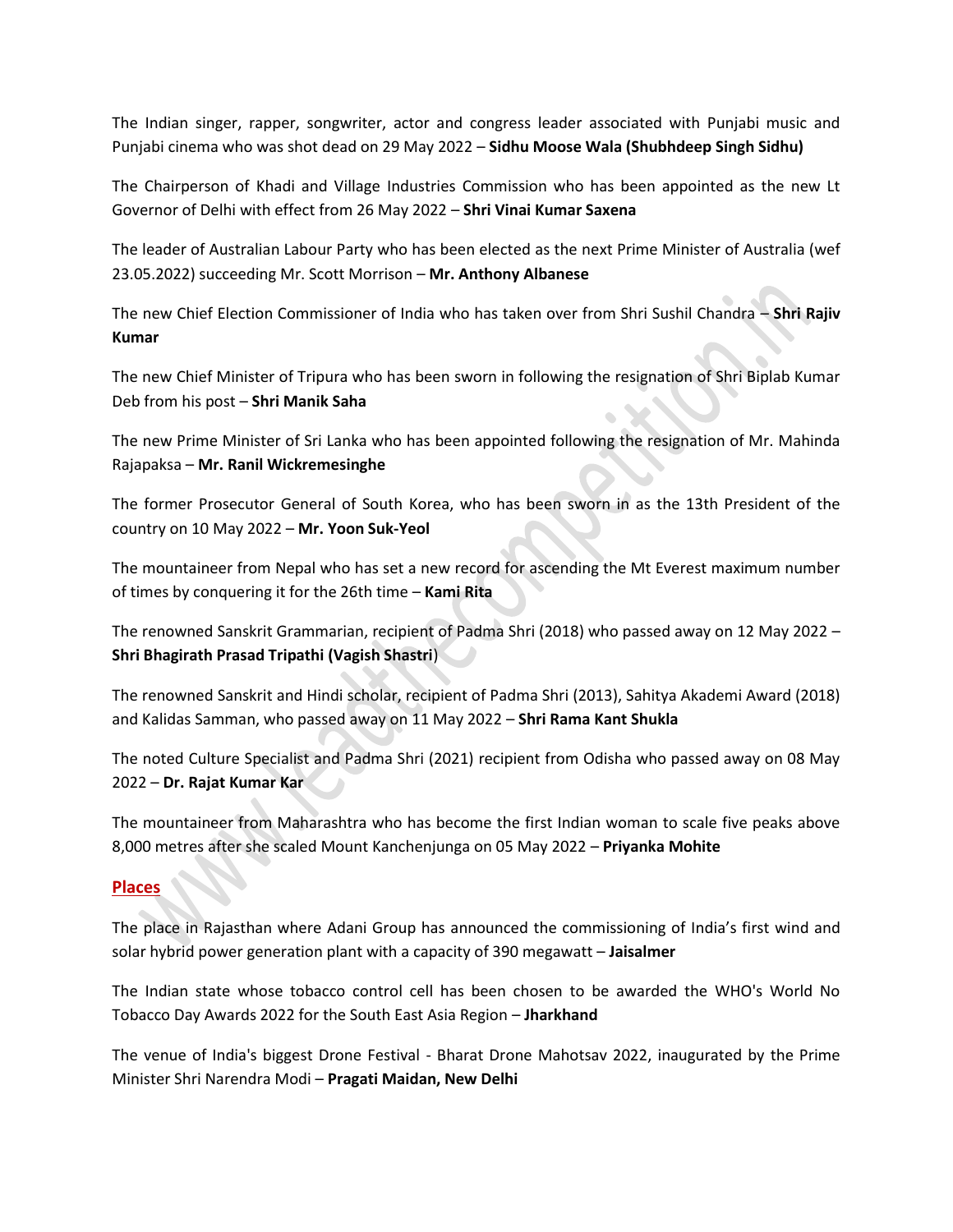The Indian singer, rapper, songwriter, actor and congress leader associated with Punjabi music and Punjabi cinema who was shot dead on 29 May 2022 – **Sidhu Moose Wala (Shubhdeep Singh Sidhu)**

The Chairperson of Khadi and Village Industries Commission who has been appointed as the new Lt Governor of Delhi with effect from 26 May 2022 – **Shri Vinai Kumar Saxena**

The leader of Australian Labour Party who has been elected as the next Prime Minister of Australia (wef 23.05.2022) succeeding Mr. Scott Morrison – **Mr. Anthony Albanese**

The new Chief Election Commissioner of India who has taken over from Shri Sushil Chandra – **Shri Rajiv Kumar**

The new Chief Minister of Tripura who has been sworn in following the resignation of Shri Biplab Kumar Deb from his post – **Shri Manik Saha**

The new Prime Minister of Sri Lanka who has been appointed following the resignation of Mr. Mahinda Rajapaksa – **Mr. Ranil Wickremesinghe**

The former Prosecutor General of South Korea, who has been sworn in as the 13th President of the country on 10 May 2022 – **Mr. Yoon Suk-Yeol**

The mountaineer from Nepal who has set a new record for ascending the Mt Everest maximum number of times by conquering it for the 26th time – **Kami Rita**

The renowned Sanskrit Grammarian, recipient of Padma Shri (2018) who passed away on 12 May 2022 – **Shri Bhagirath Prasad Tripathi (Vagish Shastri**)

The renowned Sanskrit and Hindi scholar, recipient of Padma Shri (2013), Sahitya Akademi Award (2018) and Kalidas Samman, who passed away on 11 May 2022 – **Shri Rama Kant Shukla**

The noted Culture Specialist and Padma Shri (2021) recipient from Odisha who passed away on 08 May 2022 – **Dr. Rajat Kumar Kar**

The mountaineer from Maharashtra who has become the first Indian woman to scale five peaks above 8,000 metres after she scaled Mount Kanchenjunga on 05 May 2022 – **Priyanka Mohite**

## **Places**

The place in Rajasthan where Adani Group has announced the commissioning of India's first wind and solar hybrid power generation plant with a capacity of 390 megawatt – **Jaisalmer**

The Indian state whose tobacco control cell has been chosen to be awarded the WHO's World No Tobacco Day Awards 2022 for the South East Asia Region – **Jharkhand**

The venue of India's biggest Drone Festival - Bharat Drone Mahotsav 2022, inaugurated by the Prime Minister Shri Narendra Modi – **Pragati Maidan, New Delhi**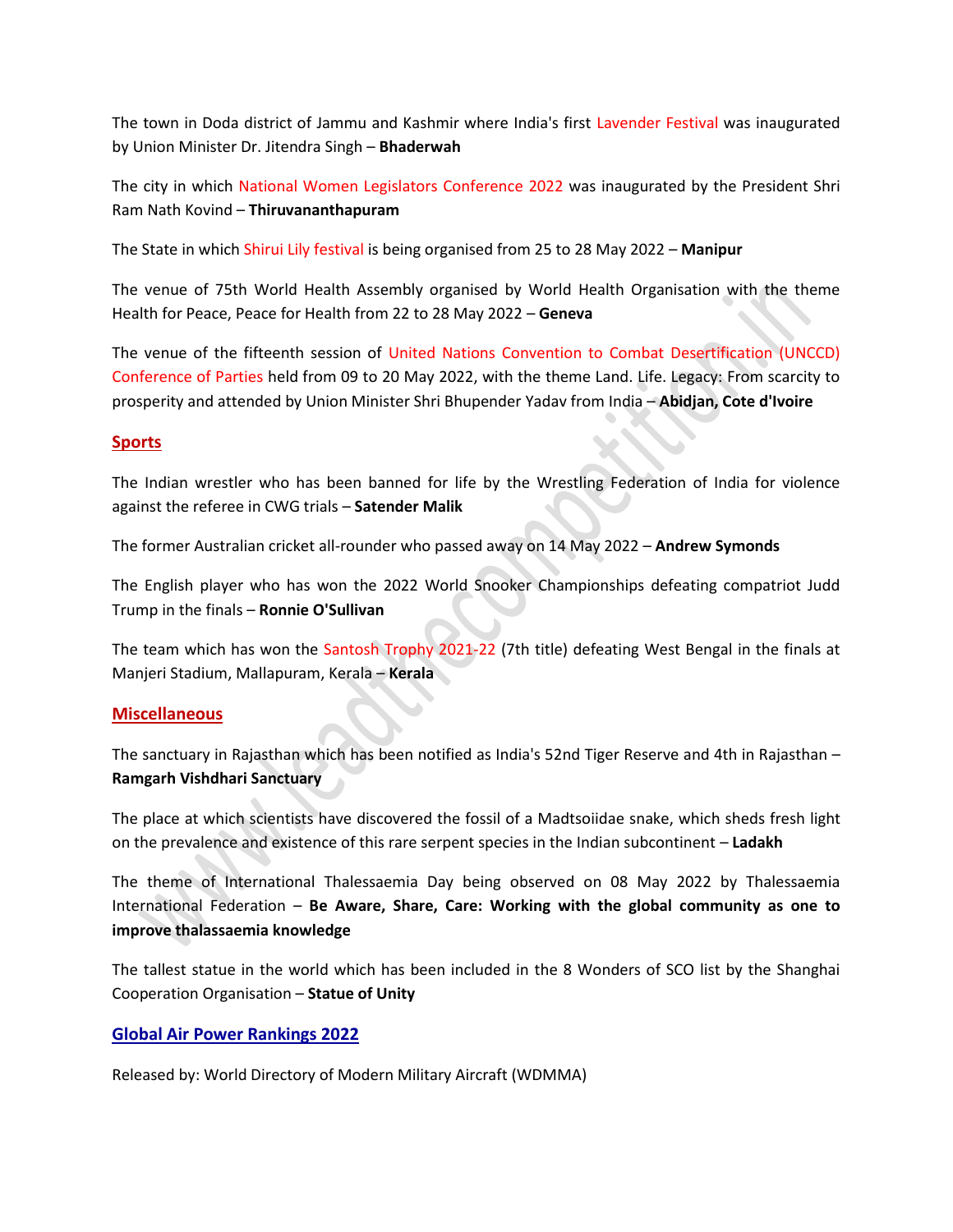The town in Doda district of Jammu and Kashmir where India's first Lavender Festival was inaugurated by Union Minister Dr. Jitendra Singh – **Bhaderwah**

The city in which National Women Legislators Conference 2022 was inaugurated by the President Shri Ram Nath Kovind – **Thiruvananthapuram**

The State in which Shirui Lily festival is being organised from 25 to 28 May 2022 – **Manipur**

The venue of 75th World Health Assembly organised by World Health Organisation with the theme Health for Peace, Peace for Health from 22 to 28 May 2022 – **Geneva**

The venue of the fifteenth session of United Nations Convention to Combat Desertification (UNCCD) Conference of Parties held from 09 to 20 May 2022, with the theme Land. Life. Legacy: From scarcity to prosperity and attended by Union Minister Shri Bhupender Yadav from India – **Abidjan, Cote d'Ivoire**

#### **Sports**

The Indian wrestler who has been banned for life by the Wrestling Federation of India for violence against the referee in CWG trials – **Satender Malik**

The former Australian cricket all-rounder who passed away on 14 May 2022 – **Andrew Symonds**

The English player who has won the 2022 World Snooker Championships defeating compatriot Judd Trump in the finals – **Ronnie O'Sullivan**

The team which has won the Santosh Trophy 2021-22 (7th title) defeating West Bengal in the finals at Manjeri Stadium, Mallapuram, Kerala – **Kerala**

#### **Miscellaneous**

The sanctuary in Rajasthan which has been notified as India's 52nd Tiger Reserve and 4th in Rajasthan – **Ramgarh Vishdhari Sanctuary**

The place at which scientists have discovered the fossil of a Madtsoiidae snake, which sheds fresh light on the prevalence and existence of this rare serpent species in the Indian subcontinent – **Ladakh**

The theme of International Thalessaemia Day being observed on 08 May 2022 by Thalessaemia International Federation – **Be Aware, Share, Care: Working with the global community as one to improve thalassaemia knowledge**

The tallest statue in the world which has been included in the 8 Wonders of SCO list by the Shanghai Cooperation Organisation – **Statue of Unity**

#### **Global Air Power Rankings 2022**

Released by: World Directory of Modern Military Aircraft (WDMMA)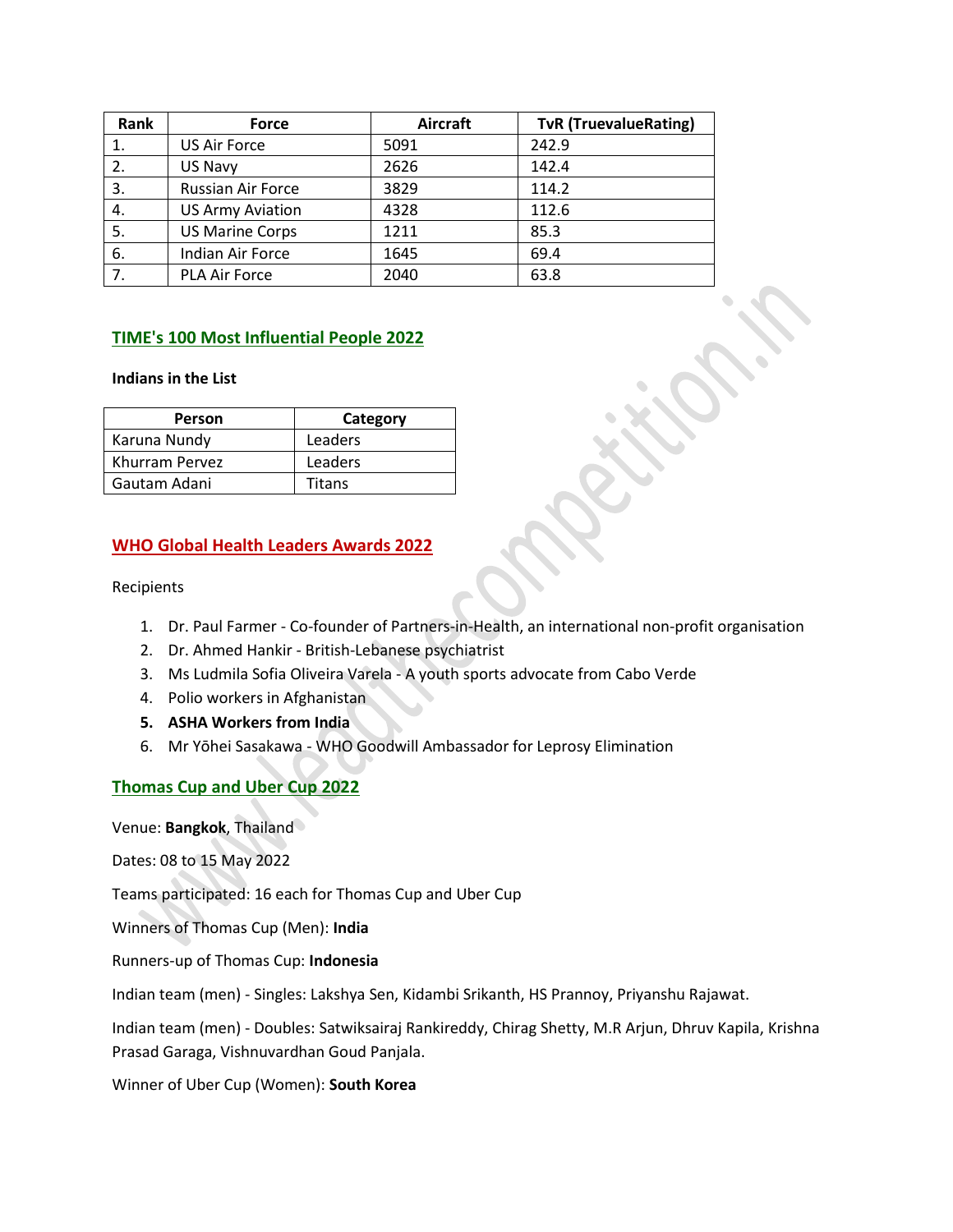| Rank | Force                    | <b>Aircraft</b> | <b>TvR (TruevalueRating)</b> |
|------|--------------------------|-----------------|------------------------------|
| 1.   | <b>US Air Force</b>      | 5091            | 242.9                        |
| 2.   | US Navy                  | 2626            | 142.4                        |
| 3.   | <b>Russian Air Force</b> | 3829            | 114.2                        |
| 4.   | <b>US Army Aviation</b>  | 4328            | 112.6                        |
| 5.   | <b>US Marine Corps</b>   | 1211            | 85.3                         |
| 6.   | <b>Indian Air Force</b>  | 1645            | 69.4                         |
|      | <b>PLA Air Force</b>     | 2040            | 63.8                         |

## **TIME's 100 Most Influential People 2022**

#### **Indians in the List**

| Person         | Category |  |
|----------------|----------|--|
| Karuna Nundy   | Leaders  |  |
| Khurram Pervez | Leaders  |  |
| Gautam Adani   | Titans   |  |

## **WHO Global Health Leaders Awards 2022**

Recipients

- 1. Dr. Paul Farmer Co-founder of Partners-in-Health, an international non-profit organisation
- 2. Dr. Ahmed Hankir British-Lebanese psychiatrist
- 3. Ms Ludmila Sofia Oliveira Varela A youth sports advocate from Cabo Verde
- 4. Polio workers in Afghanistan
- **5. ASHA Workers from India**
- 6. Mr Yōhei Sasakawa WHO Goodwill Ambassador for Leprosy Elimination

## **Thomas Cup and Uber Cup 2022**

Venue: **Bangkok**, Thailand

Dates: 08 to 15 May 2022

Teams participated: 16 each for Thomas Cup and Uber Cup

Winners of Thomas Cup (Men): **India**

Runners-up of Thomas Cup: **Indonesia**

Indian team (men) - Singles: Lakshya Sen, Kidambi Srikanth, HS Prannoy, Priyanshu Rajawat.

Indian team (men) - Doubles: Satwiksairaj Rankireddy, Chirag Shetty, M.R Arjun, Dhruv Kapila, Krishna Prasad Garaga, Vishnuvardhan Goud Panjala.

Winner of Uber Cup (Women): **South Korea**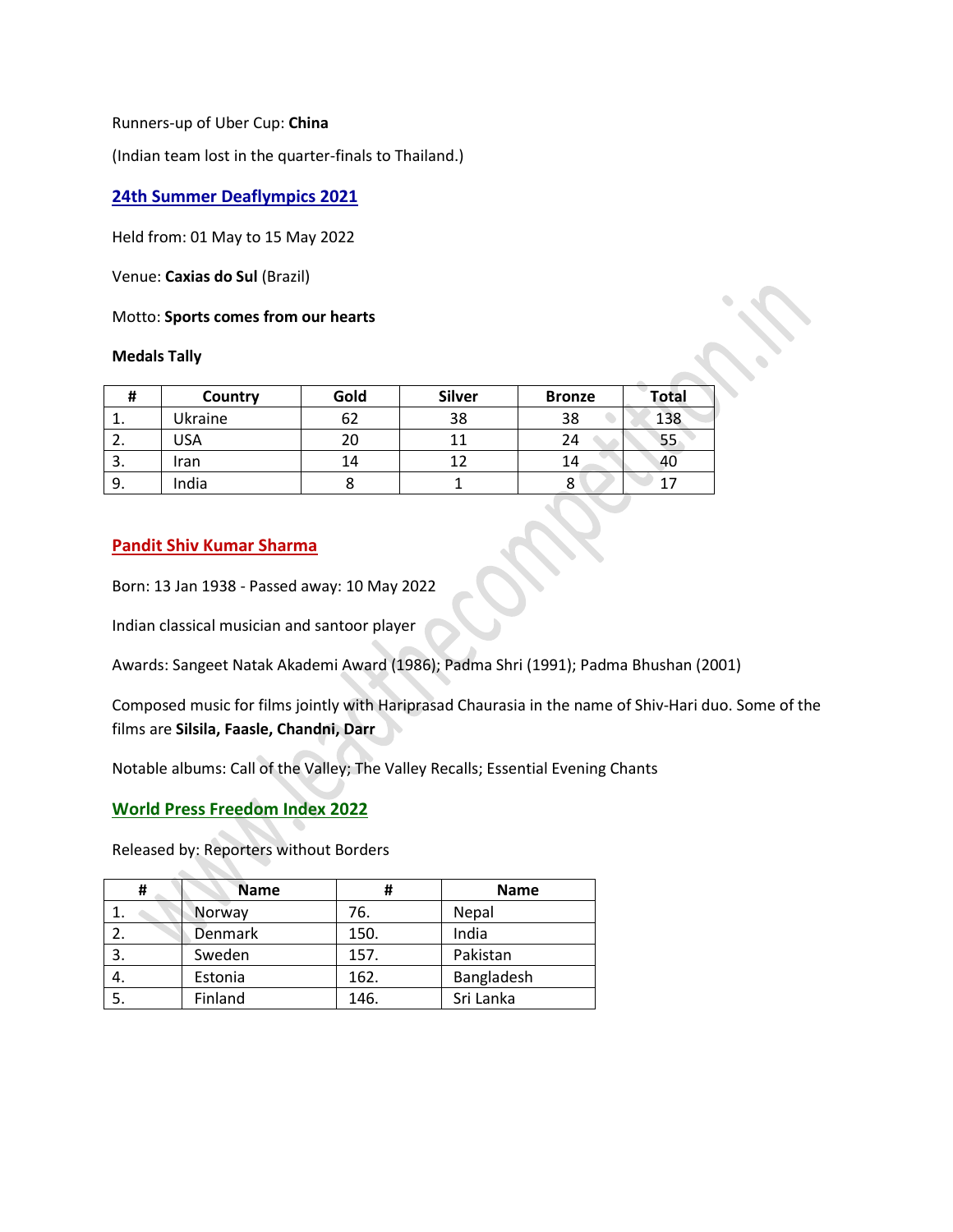Runners-up of Uber Cup: **China**

(Indian team lost in the quarter-finals to Thailand.)

## **24th Summer Deaflympics 2021**

Held from: 01 May to 15 May 2022

Venue: **Caxias do Sul** (Brazil)

Motto: **Sports comes from our hearts**

#### **Medals Tally**

|         | Country | Gold | <b>Silver</b> | <b>Bronze</b> | Total |
|---------|---------|------|---------------|---------------|-------|
| ∸.      | Ukraine | 62   | 38            | 38            | 138   |
| <u></u> | USA     | 20   |               | 24            | 55    |
| 3.      | Iran    | 14   |               | 14            | 40    |
| 9.      | India   |      |               | Ο             |       |

## **Pandit Shiv Kumar Sharma**

Born: 13 Jan 1938 - Passed away: 10 May 2022

Indian classical musician and santoor player

Awards: Sangeet Natak Akademi Award (1986); Padma Shri (1991); Padma Bhushan (2001)

Composed music for films jointly with Hariprasad Chaurasia in the name of Shiv-Hari duo. Some of the films are **Silsila, Faasle, Chandni, Darr**

Notable albums: Call of the Valley; The Valley Recalls; Essential Evening Chants

## **World Press Freedom Index 2022**

Released by: Reporters without Borders

| #  | <b>Name</b>    |      | <b>Name</b> |
|----|----------------|------|-------------|
|    | Norway         | 76.  | Nepal       |
| 2. | <b>Denmark</b> | 150. | India       |
| 3. | Sweden         | 157. | Pakistan    |
| 4. | Estonia        | 162. | Bangladesh  |
|    | Finland        | 146. | Sri Lanka   |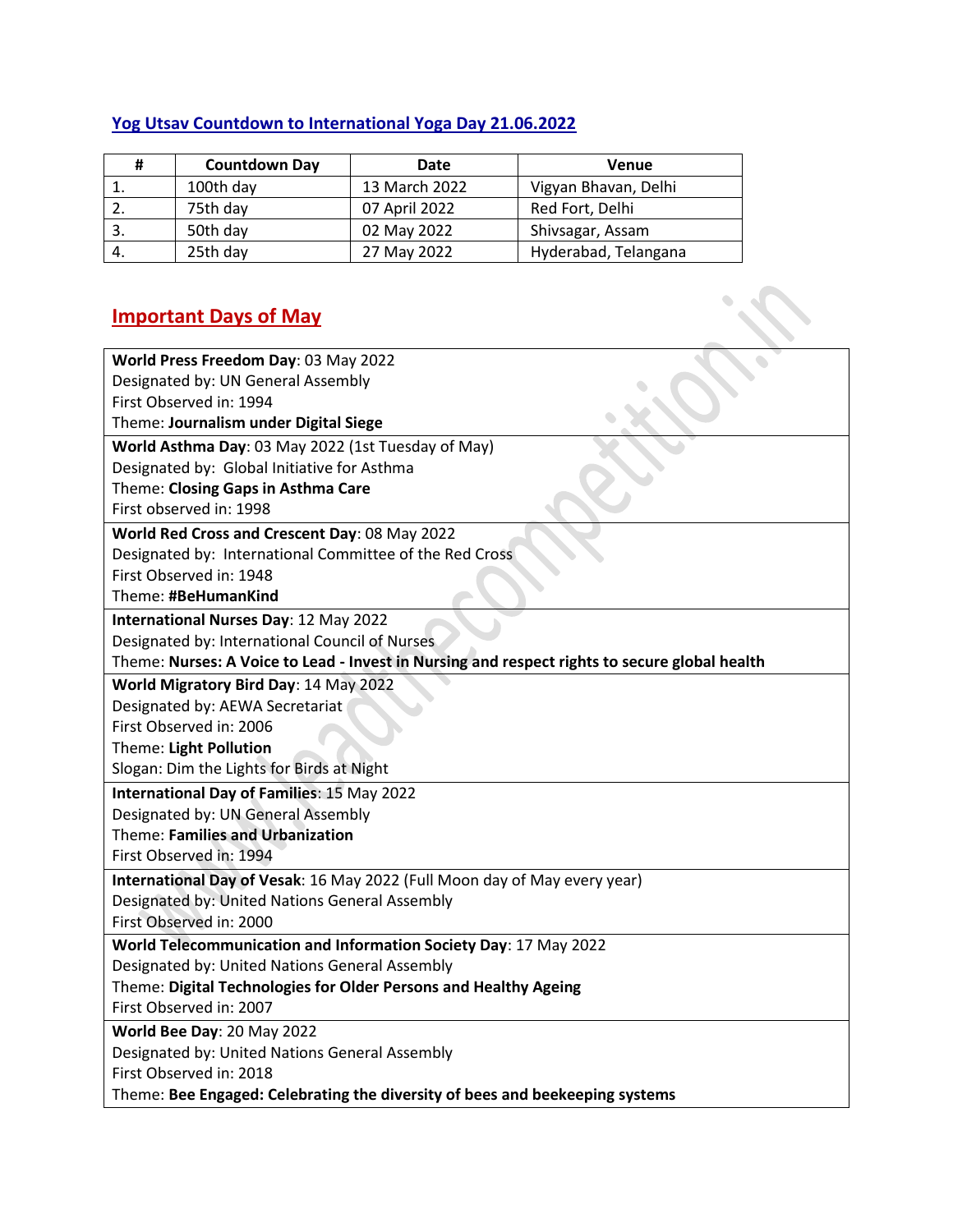# **Yog Utsav Countdown to International Yoga Day 21.06.2022**

| # | <b>Countdown Day</b> | Date          | <b>Venue</b>         |
|---|----------------------|---------------|----------------------|
|   | 100th day            | 13 March 2022 | Vigyan Bhavan, Delhi |
|   | 75th day             | 07 April 2022 | Red Fort, Delhi      |
|   | 50th day             | 02 May 2022   | Shivsagar, Assam     |
|   | 25th day             | 27 May 2022   | Hyderabad, Telangana |

# **Important Days of May**

| <b>Important Days of May</b>                                                                  |
|-----------------------------------------------------------------------------------------------|
| World Press Freedom Day: 03 May 2022                                                          |
| Designated by: UN General Assembly                                                            |
| First Observed in: 1994                                                                       |
| Theme: Journalism under Digital Siege                                                         |
| World Asthma Day: 03 May 2022 (1st Tuesday of May)                                            |
| Designated by: Global Initiative for Asthma                                                   |
| Theme: Closing Gaps in Asthma Care                                                            |
| First observed in: 1998                                                                       |
| World Red Cross and Crescent Day: 08 May 2022                                                 |
| Designated by: International Committee of the Red Cross                                       |
| First Observed in: 1948                                                                       |
| Theme: #BeHumanKind                                                                           |
| International Nurses Day: 12 May 2022                                                         |
| Designated by: International Council of Nurses                                                |
| Theme: Nurses: A Voice to Lead - Invest in Nursing and respect rights to secure global health |
| World Migratory Bird Day: 14 May 2022                                                         |
| Designated by: AEWA Secretariat                                                               |
| First Observed in: 2006                                                                       |
| Theme: Light Pollution                                                                        |
| Slogan: Dim the Lights for Birds at Night                                                     |
| <b>International Day of Families: 15 May 2022</b>                                             |
| Designated by: UN General Assembly                                                            |
| Theme: Families and Urbanization                                                              |
| First Observed in: 1994                                                                       |
| International Day of Vesak: 16 May 2022 (Full Moon day of May every year)                     |
| Designated by: United Nations General Assembly                                                |
| First Observed in: 2000                                                                       |
| World Telecommunication and Information Society Day: 17 May 2022                              |
| Designated by: United Nations General Assembly                                                |
| Theme: Digital Technologies for Older Persons and Healthy Ageing                              |
| First Observed in: 2007                                                                       |
| World Bee Day: 20 May 2022                                                                    |
| Designated by: United Nations General Assembly                                                |
| First Observed in: 2018                                                                       |
| Theme: Bee Engaged: Celebrating the diversity of bees and beekeeping systems                  |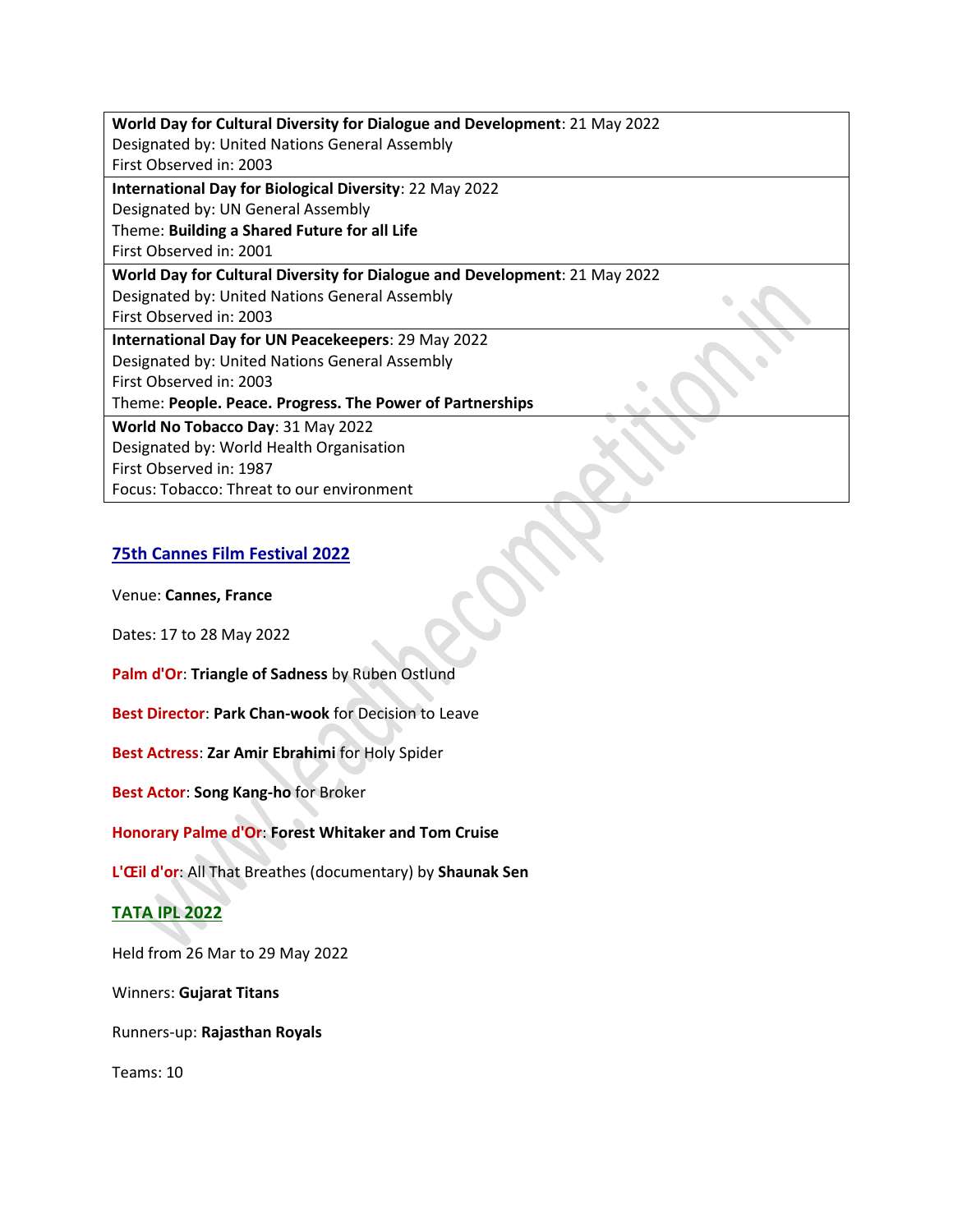#### **World Day for Cultural Diversity for Dialogue and Development**: 21 May 2022 Designated by: United Nations General Assembly First Observed in: 2003

**International Day for Biological Diversity**: 22 May 2022 Designated by: UN General Assembly Theme: **Building a Shared Future for all Life** First Observed in: 2001

**World Day for Cultural Diversity for Dialogue and Development**: 21 May 2022 Designated by: United Nations General Assembly

First Observed in: 2003

**International Day for UN Peacekeepers**: 29 May 2022 Designated by: United Nations General Assembly

First Observed in: 2003

Theme: **People. Peace. Progress. The Power of Partnerships**

**World No Tobacco Day**: 31 May 2022

Designated by: World Health Organisation First Observed in: 1987 Focus: Tobacco: Threat to our environment

# **75th Cannes Film Festival 2022**

Venue: **Cannes, France**

Dates: 17 to 28 May 2022

**Palm d'Or**: **Triangle of Sadness** by Ruben Ostlund

**Best Director**: **Park Chan-wook** for Decision to Leave

**Best Actress**: **Zar Amir Ebrahimi** for Holy Spider

**Best Actor**: **Song Kang-ho** for Broker

**Honorary Palme d'Or**: **Forest Whitaker and Tom Cruise**

**L'Œil d'or**: All That Breathes (documentary) by **Shaunak Sen**

# **TATA IPL 2022**

Held from 26 Mar to 29 May 2022

Winners: **Gujarat Titans**

Runners-up: **Rajasthan Royals**

Teams: 10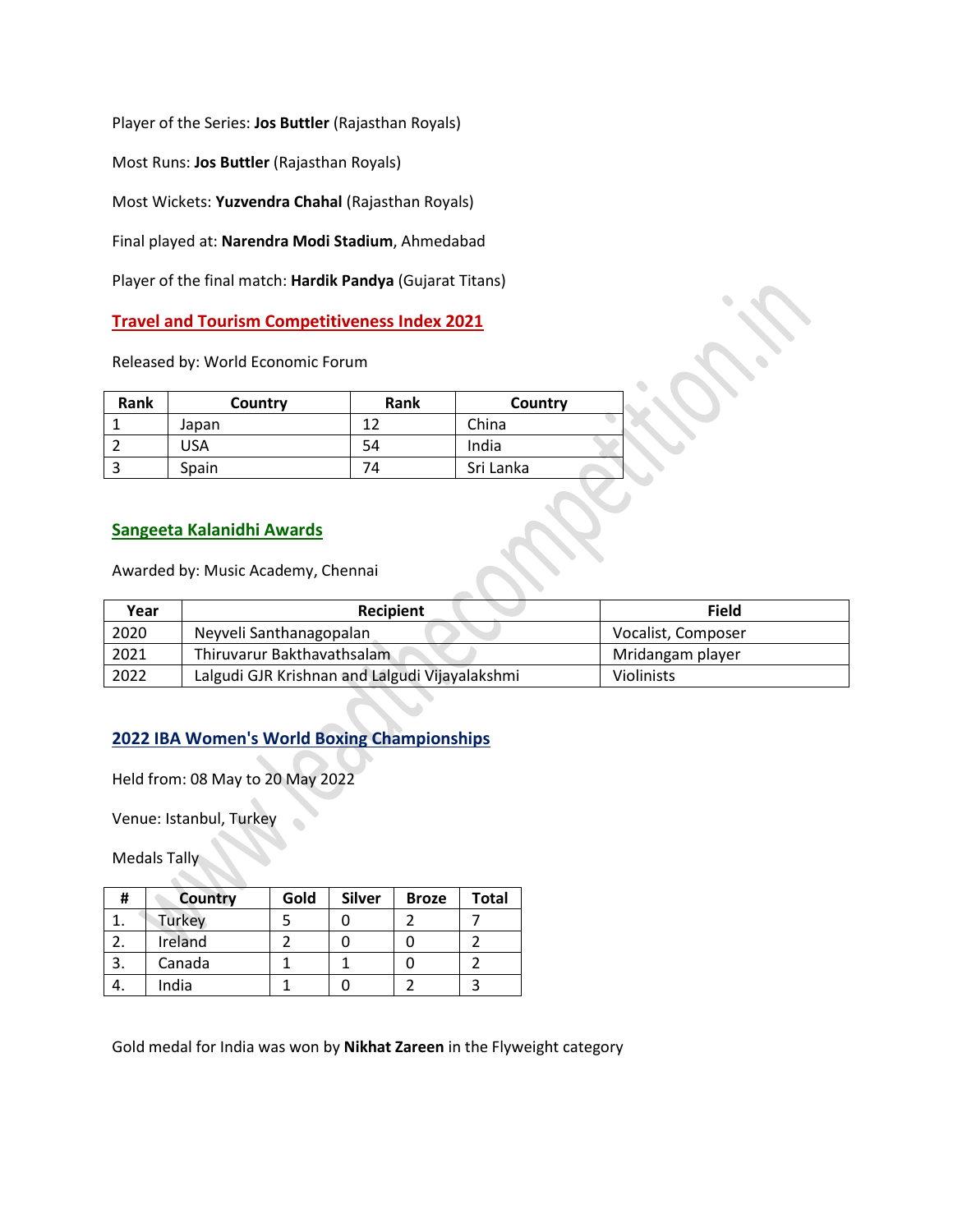Player of the Series: **Jos Buttler** (Rajasthan Royals)

Most Runs: **Jos Buttler** (Rajasthan Royals)

Most Wickets: **Yuzvendra Chahal** (Rajasthan Royals)

Final played at: **Narendra Modi Stadium**, Ahmedabad

Player of the final match: **Hardik Pandya** (Gujarat Titans)

## **Travel and Tourism Competitiveness Index 2021**

Released by: World Economic Forum

| Rank | Country | Rank | Country   |
|------|---------|------|-----------|
|      | Japan   |      | China     |
|      | USA     | 54   | India     |
|      | Spain   | 7Δ   | Sri Lanka |

## **Sangeeta Kalanidhi Awards**

Awarded by: Music Academy, Chennai

| Year | Recipient                                      | <b>Field</b>       |
|------|------------------------------------------------|--------------------|
| 2020 | Neyveli Santhanagopalan                        | Vocalist, Composer |
| 2021 | Thiruvarur Bakthavathsalam                     | Mridangam player   |
| 2022 | Lalgudi GJR Krishnan and Lalgudi Vijayalakshmi | <b>Violinists</b>  |

## **2022 IBA Women's World Boxing Championships**

Held from: 08 May to 20 May 2022

Venue: Istanbul, Turkey

Medals Tally

| #    | <b>Country</b> | Gold | <b>Silver</b> | <b>Broze</b> | Total |
|------|----------------|------|---------------|--------------|-------|
|      | <b>Turkey</b>  |      |               |              |       |
|      | Ireland        |      |               |              |       |
| - 3. | Canada         |      |               |              |       |
| -.   | India          |      |               |              |       |

Gold medal for India was won by **Nikhat Zareen** in the Flyweight category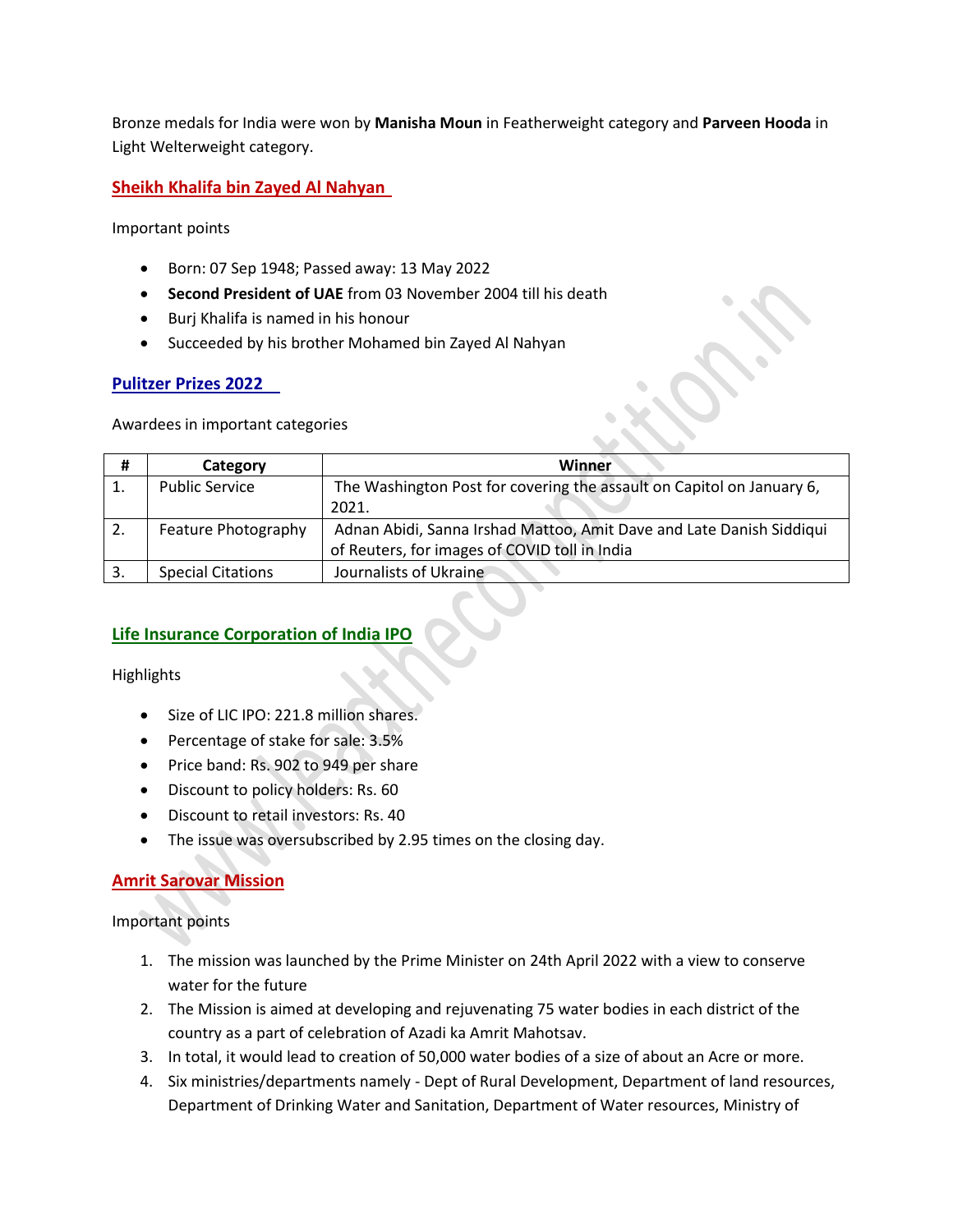Bronze medals for India were won by **Manisha Moun** in Featherweight category and **Parveen Hooda** in Light Welterweight category.

# **Sheikh Khalifa bin Zayed Al Nahyan**

Important points

- Born: 07 Sep 1948; Passed away: 13 May 2022
- **Second President of UAE** from 03 November 2004 till his death
- Burj Khalifa is named in his honour
- Succeeded by his brother Mohamed bin Zayed Al Nahyan

# **Pulitzer Prizes 2022**

Awardees in important categories

| #  | Category                 | Winner                                                                |
|----|--------------------------|-----------------------------------------------------------------------|
| 1. | <b>Public Service</b>    | The Washington Post for covering the assault on Capitol on January 6, |
|    |                          | 2021.                                                                 |
| 2. | Feature Photography      | Adnan Abidi, Sanna Irshad Mattoo, Amit Dave and Late Danish Siddiqui  |
|    |                          | of Reuters, for images of COVID toll in India                         |
| 3. | <b>Special Citations</b> | Journalists of Ukraine                                                |

# **Life Insurance Corporation of India IPO**

Highlights

- Size of LIC IPO: 221.8 million shares.
- Percentage of stake for sale: 3.5%
- Price band: Rs. 902 to 949 per share
- Discount to policy holders: Rs. 60
- Discount to retail investors: Rs. 40
- The issue was oversubscribed by 2.95 times on the closing day.

# **Amrit Sarovar Mission**

Important points

- 1. The mission was launched by the Prime Minister on 24th April 2022 with a view to conserve water for the future
- 2. The Mission is aimed at developing and rejuvenating 75 water bodies in each district of the country as a part of celebration of Azadi ka Amrit Mahotsav.
- 3. In total, it would lead to creation of 50,000 water bodies of a size of about an Acre or more.
- 4. Six ministries/departments namely Dept of Rural Development, Department of land resources, Department of Drinking Water and Sanitation, Department of Water resources, Ministry of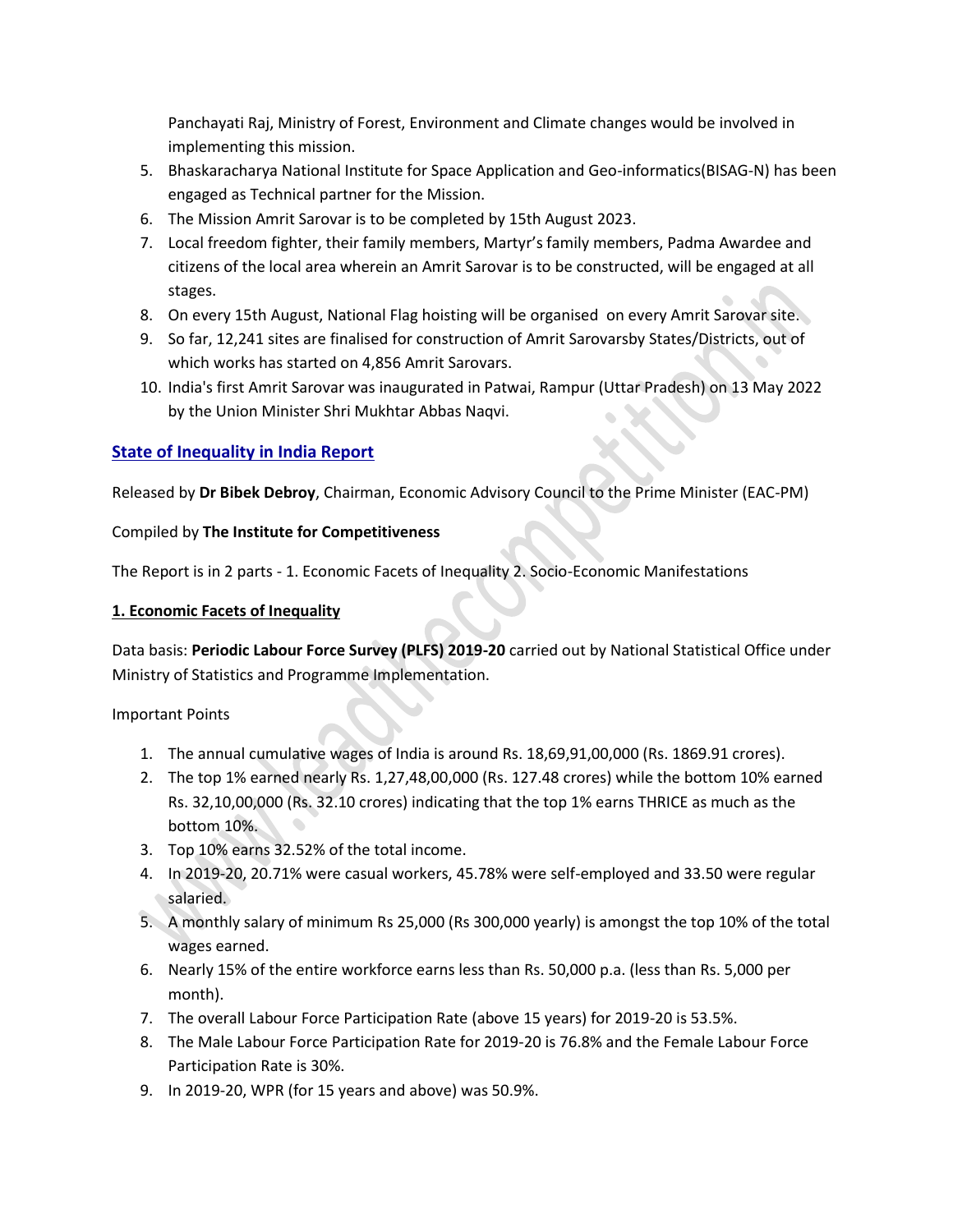Panchayati Raj, Ministry of Forest, Environment and Climate changes would be involved in implementing this mission.

- 5. Bhaskaracharya National Institute for Space Application and Geo-informatics(BISAG-N) has been engaged as Technical partner for the Mission.
- 6. The Mission Amrit Sarovar is to be completed by 15th August 2023.
- 7. Local freedom fighter, their family members, Martyr's family members, Padma Awardee and citizens of the local area wherein an Amrit Sarovar is to be constructed, will be engaged at all stages.
- 8. On every 15th August, National Flag hoisting will be organised on every Amrit Sarovar site.
- 9. So far, 12,241 sites are finalised for construction of Amrit Sarovarsby States/Districts, out of which works has started on 4,856 Amrit Sarovars.
- 10. India's first Amrit Sarovar was inaugurated in Patwai, Rampur (Uttar Pradesh) on 13 May 2022 by the Union Minister Shri Mukhtar Abbas Naqvi.

# **State of Inequality in India Report**

Released by **Dr Bibek Debroy**, Chairman, Economic Advisory Council to the Prime Minister (EAC-PM)

# Compiled by **The Institute for Competitiveness**

The Report is in 2 parts - 1. Economic Facets of Inequality 2. Socio-Economic Manifestations

# **1. Economic Facets of Inequality**

Data basis: **Periodic Labour Force Survey (PLFS) 2019-20** carried out by National Statistical Office under Ministry of Statistics and Programme Implementation.

Important Points

- 1. The annual cumulative wages of India is around Rs. 18,69,91,00,000 (Rs. 1869.91 crores).
- 2. The top 1% earned nearly Rs. 1,27,48,00,000 (Rs. 127.48 crores) while the bottom 10% earned Rs. 32,10,00,000 (Rs. 32.10 crores) indicating that the top 1% earns THRICE as much as the bottom 10%.  $\bigcirc$
- 3. Top 10% earns 32.52% of the total income.
- 4. In 2019-20, 20.71% were casual workers, 45.78% were self-employed and 33.50 were regular salaried.
- 5. A monthly salary of minimum Rs 25,000 (Rs 300,000 yearly) is amongst the top 10% of the total wages earned.
- 6. Nearly 15% of the entire workforce earns less than Rs. 50,000 p.a. (less than Rs. 5,000 per month).
- 7. The overall Labour Force Participation Rate (above 15 years) for 2019-20 is 53.5%.
- 8. The Male Labour Force Participation Rate for 2019-20 is 76.8% and the Female Labour Force Participation Rate is 30%.
- 9. In 2019-20, WPR (for 15 years and above) was 50.9%.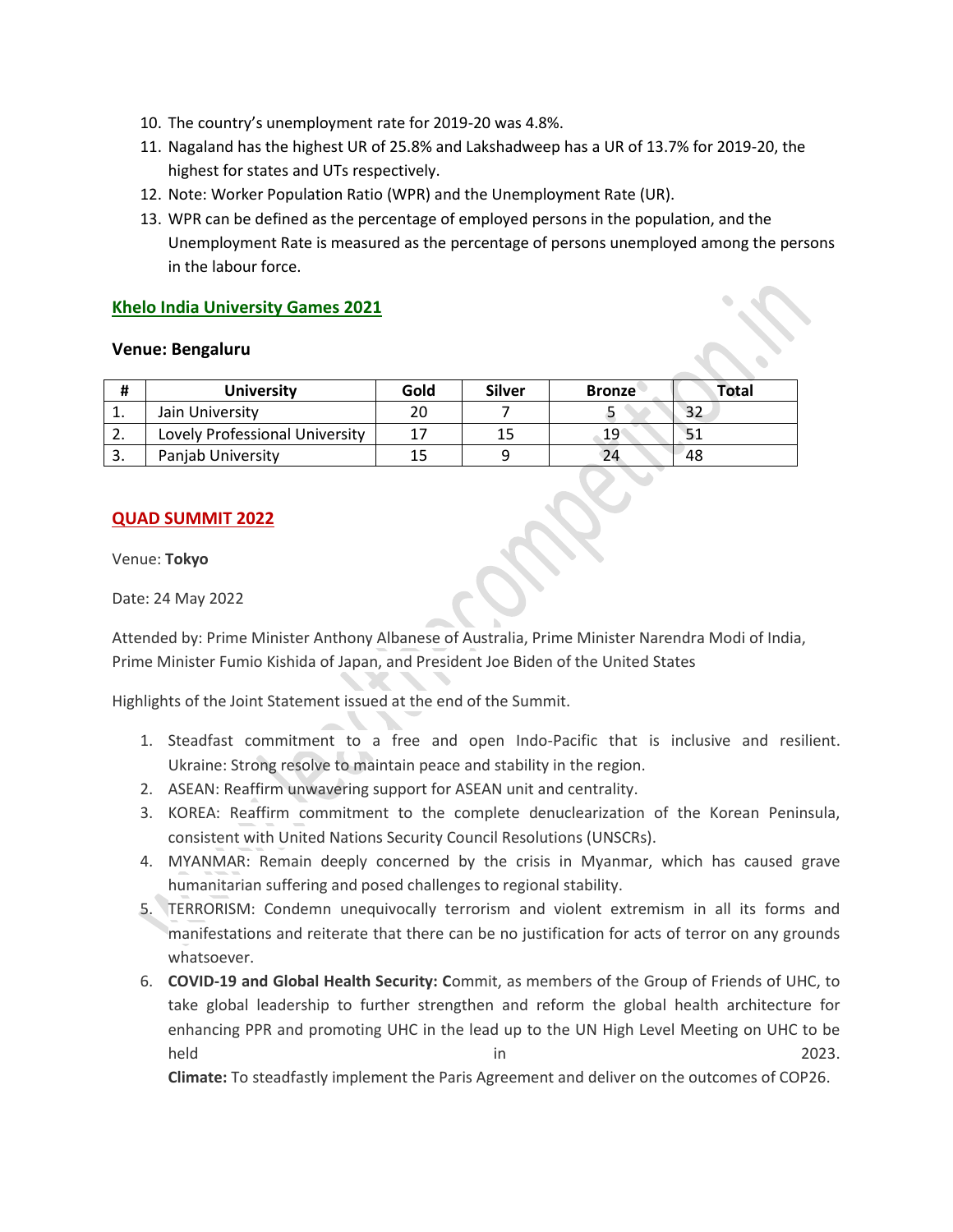- 10. The country's unemployment rate for 2019-20 was 4.8%.
- 11. Nagaland has the highest UR of 25.8% and Lakshadweep has a UR of 13.7% for 2019-20, the highest for states and UTs respectively.
- 12. Note: Worker Population Ratio (WPR) and the Unemployment Rate (UR).
- 13. WPR can be defined as the percentage of employed persons in the population, and the Unemployment Rate is measured as the percentage of persons unemployed among the persons in the labour force.

## **Khelo India University Games 2021**

#### **Venue: Bengaluru**

|          | Universitv                     | Gold | <b>Silver</b> | <b>Bronze</b> | Total |
|----------|--------------------------------|------|---------------|---------------|-------|
| ᆠ.       | Jain University                | 20   |               |               |       |
| <u>.</u> | Lovely Professional University |      |               | 19            |       |
| э.       | Panjab University              | 15   |               |               | 48    |

# **QUAD SUMMIT 2022**

Venue: **Tokyo**

Date: 24 May 2022

Attended by: Prime Minister Anthony Albanese of Australia, Prime Minister Narendra Modi of India, Prime Minister Fumio Kishida of Japan, and President Joe Biden of the United States

Highlights of the Joint Statement issued at the end of the Summit.

- 1. Steadfast commitment to a free and open Indo-Pacific that is inclusive and resilient. Ukraine: Strong resolve to maintain peace and stability in the region.
- 2. ASEAN: Reaffirm unwavering support for ASEAN unit and centrality.
- 3. KOREA: Reaffirm commitment to the complete denuclearization of the Korean Peninsula, consistent with United Nations Security Council Resolutions (UNSCRs).
- 4. MYANMAR: Remain deeply concerned by the crisis in Myanmar, which has caused grave humanitarian suffering and posed challenges to regional stability.
- 5. TERRORISM: Condemn unequivocally terrorism and violent extremism in all its forms and manifestations and reiterate that there can be no justification for acts of terror on any grounds whatsoever.
- 6. **COVID-19 and Global Health Security: C**ommit, as members of the Group of Friends of UHC, to take global leadership to further strengthen and reform the global health architecture for enhancing PPR and promoting UHC in the lead up to the UN High Level Meeting on UHC to be held 2023.

**Climate:** To steadfastly implement the Paris Agreement and deliver on the outcomes of COP26.